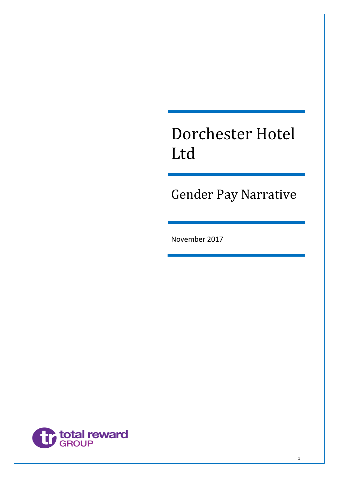# Dorchester Hotel Ltd

Gender Pay Narrative

November 2017

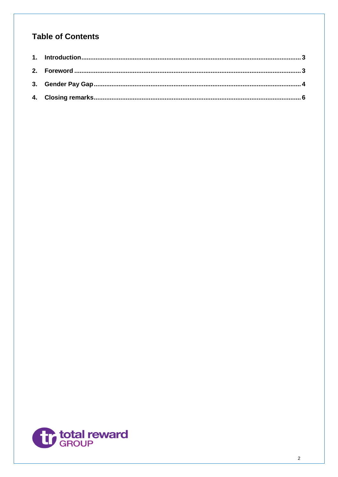# **Table of Contents**

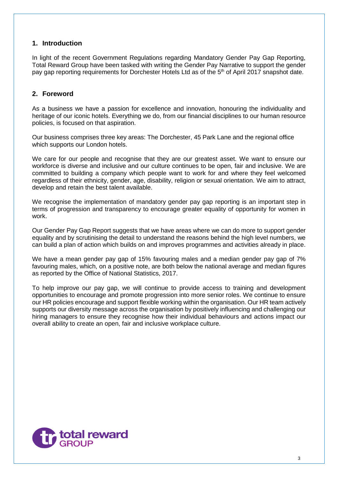#### <span id="page-2-0"></span>**1. Introduction**

In light of the recent Government Regulations regarding Mandatory Gender Pay Gap Reporting, Total Reward Group have been tasked with writing the Gender Pay Narrative to support the gender pay gap reporting requirements for Dorchester Hotels Ltd as of the 5<sup>th</sup> of April 2017 snapshot date.

#### <span id="page-2-1"></span>**2. Foreword**

As a business we have a passion for excellence and innovation, honouring the individuality and heritage of our iconic hotels. Everything we do, from our financial disciplines to our human resource policies, is focused on that aspiration.

Our business comprises three key areas: The Dorchester, 45 Park Lane and the regional office which supports our London hotels.

We care for our people and recognise that they are our greatest asset. We want to ensure our workforce is diverse and inclusive and our culture continues to be open, fair and inclusive. We are committed to building a company which people want to work for and where they feel welcomed regardless of their ethnicity, gender, age, disability, religion or sexual orientation. We aim to attract, develop and retain the best talent available.

We recognise the implementation of mandatory gender pay gap reporting is an important step in terms of progression and transparency to encourage greater equality of opportunity for women in work.

Our Gender Pay Gap Report suggests that we have areas where we can do more to support gender equality and by scrutinising the detail to understand the reasons behind the high level numbers, we can build a plan of action which builds on and improves programmes and activities already in place.

We have a mean gender pay gap of 15% favouring males and a median gender pay gap of 7% favouring males, which, on a positive note, are both below the national average and median figures as reported by the Office of National Statistics, 2017.

To help improve our pay gap, we will continue to provide access to training and development opportunities to encourage and promote progression into more senior roles. We continue to ensure our HR policies encourage and support flexible working within the organisation. Our HR team actively supports our diversity message across the organisation by positively influencing and challenging our hiring managers to ensure they recognise how their individual behaviours and actions impact our overall ability to create an open, fair and inclusive workplace culture.

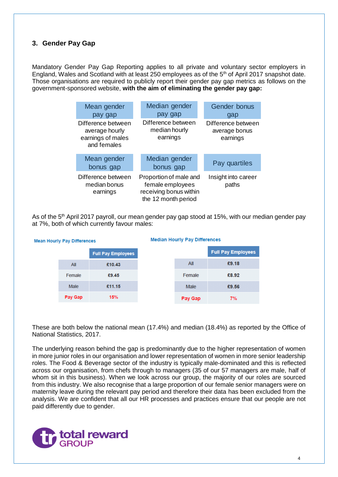## <span id="page-3-0"></span>**3. Gender Pay Gap**

Mean

Mandatory Gender Pay Gap Reporting applies to all private and voluntary sector employers in England, Wales and Scotland with at least 250 employees as of the 5<sup>th</sup> of April 2017 snapshot date. Those organisations are required to publicly report their gender pay gap metrics as follows on the government-sponsored website, **with the aim of eliminating the gender pay gap:**

| Mean gender<br>pay gap                                                   | Median gender<br>pay gap                                                                    | Gender bonus<br>gap                             |  |
|--------------------------------------------------------------------------|---------------------------------------------------------------------------------------------|-------------------------------------------------|--|
| Difference between<br>average hourly<br>earnings of males<br>and females | Difference between<br>median hourly<br>earnings                                             | Difference between<br>average bonus<br>earnings |  |
| Mean gender<br>bonus gap                                                 | Median gender<br>bonus gap                                                                  | Pay quartiles                                   |  |
| Difference between<br>median bonus<br>earnings                           | Proportion of male and<br>female employees<br>receiving bonus within<br>the 12 month period | Insight into career<br>paths                    |  |

As of the 5<sup>th</sup> April 2017 payroll, our mean gender pay gap stood at 15%, with our median gender pay at 7%, both of which currently favour males:

**Ill Pay Employees** 

£9.18

£8.92

£9.56

 $7%$ 

| <b>Median Hourly Pay Differences</b><br><b>Hourly Pay Differences</b> |         |                           |  |         |             |
|-----------------------------------------------------------------------|---------|---------------------------|--|---------|-------------|
|                                                                       |         | <b>Full Pay Employees</b> |  |         | <b>Full</b> |
|                                                                       | All     | £10.43                    |  | All     |             |
|                                                                       | Female  | £9.45                     |  | Female  |             |
|                                                                       | Male    | £11.15                    |  | Male    |             |
|                                                                       | Pay Gap | 15%                       |  | Pay Gap |             |

#### These are both below the national mean (17.4%) and median (18.4%) as reported by the Office of National Statistics, 2017.

The underlying reason behind the gap is predominantly due to the higher representation of women in more junior roles in our organisation and lower representation of women in more senior leadership roles. The Food & Beverage sector of the industry is typically male-dominated and this is reflected across our organisation, from chefs through to managers (35 of our 57 managers are male, half of whom sit in this business). When we look across our group, the majority of our roles are sourced from this industry. We also recognise that a large proportion of our female senior managers were on maternity leave during the relevant pay period and therefore their data has been excluded from the analysis. We are confident that all our HR processes and practices ensure that our people are not paid differently due to gender.

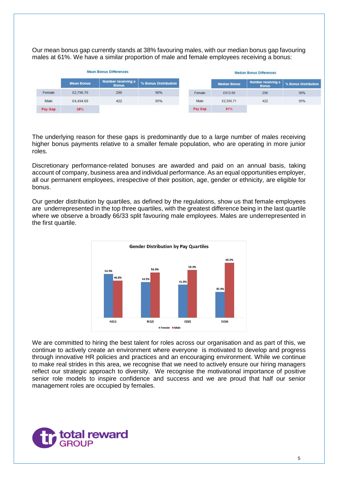Our mean bonus gap currently stands at 38% favouring males, with our median bonus gap favouring males at 61%. We have a similar proportion of male and female employees receiving a bonus:

| <b>Mean Bonus Differences</b> |                   |                                    |                      |         | <b>Median Bonus Differences</b> |                                    |                      |
|-------------------------------|-------------------|------------------------------------|----------------------|---------|---------------------------------|------------------------------------|----------------------|
|                               | <b>Mean Bonus</b> | Number receiving a<br><b>Bonus</b> | % Bonus Distribution |         | <b>Median Bonus</b>             | Number receiving a<br><b>Bonus</b> | % Bonus Distribution |
| Female                        | £2,796.79         | 298                                | 90%                  | Female  | £913.89                         | 298                                | 90%                  |
| Male                          | £4,494.69         | 422                                | 95%                  | Male    | £2,336.71                       | 422                                | 95%                  |
| Pay Gap                       | 38%               |                                    |                      | Pay Gap | 61%                             |                                    |                      |

The underlying reason for these gaps is predominantly due to a large number of males receiving higher bonus payments relative to a smaller female population, who are operating in more junior roles.

Discretionary performance-related bonuses are awarded and paid on an annual basis, taking account of company, business area and individual performance. As an equal opportunities employer, all our permanent employees, irrespective of their position, age, gender or ethnicity, are eligible for bonus.

Our gender distribution by quartiles, as defined by the regulations, show us that female employees are underrepresented in the top three quartiles, with the greatest difference being in the last quartile where we observe a broadly 66/33 split favouring male employees. Males are underrepresented in the first quartile.



We are committed to hiring the best talent for roles across our organisation and as part of this, we continue to actively create an environment where everyone is motivated to develop and progress through innovative HR policies and practices and an encouraging environment. While we continue to make real strides in this area, we recognise that we need to actively ensure our hiring managers reflect our strategic approach to diversity. We recognise the motivational importance of positive senior role models to inspire confidence and success and we are proud that half our senior management roles are occupied by females.